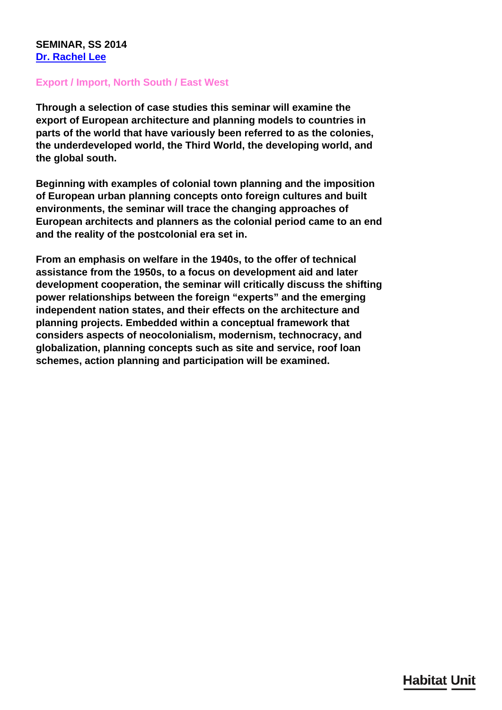## **SEMINAR, SS 2014 [Dr. Rachel Lee](/en/team/rachel-lee/)**

## **Export / Import, North South / East West**

**Through a selection of case studies this seminar will examine the export of European architecture and planning models to countries in parts of the world that have variously been referred to as the colonies, the underdeveloped world, the Third World, the developing world, and the global south.**

**Beginning with examples of colonial town planning and the imposition of European urban planning concepts onto foreign cultures and built environments, the seminar will trace the changing approaches of European architects and planners as the colonial period came to an end and the reality of the postcolonial era set in.**

**From an emphasis on welfare in the 1940s, to the offer of technical assistance from the 1950s, to a focus on development aid and later development cooperation, the seminar will critically discuss the shifting power relationships between the foreign "experts" and the emerging independent nation states, and their effects on the architecture and planning projects. Embedded within a conceptual framework that considers aspects of neocolonialism, modernism, technocracy, and globalization, planning concepts such as site and service, roof loan schemes, action planning and participation will be examined.**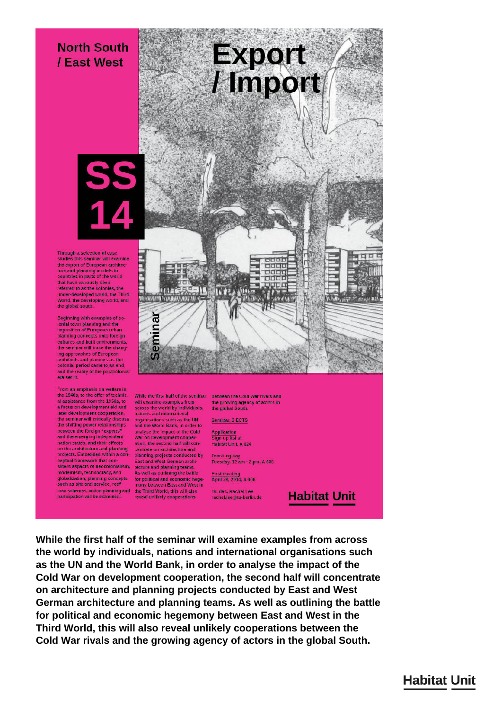## **North South** / East West



Through a selection of case<br>studies this seminar will examine the export of European architec<br>ture and planning models to countries in parts of the world that have variously been referred to as the colonies, the under-developed world, the Third<br>World, the developing world, and<br>the global south.

Beginning with examples of co-**Ionial town planning and the imposition of European urban** planning concepts onto foreign<br>cultures and built environments, the seminar will trace the chang ing approaches of European<br>architects and planners as the<br>colonial period came to an end and the reality of the postcolonial era set in.

From an emphasis on welfare in<br>the 1940s, to the offer of technic al assistance from the 1950s, to a focus on development aid and later development cooperation. the seminar will critically discuss<br>the shifting power relationships etween the foreign "experts and the emerging independent<br>nation, the second half win contribution states, and their effects<br>on the architecture and planning centrate on architecture and<br>contribution a contribution of the conducted by<br> $\frac{1}{2}$ ceptual framework that considers aspects of neocolonialism, modernism, technocracy, and globalization, planning concepts such as site and service, roof loan schemes, action planning and the Third World, this will also participation will be examined.



will examine examples from the growing agency of actors in<br>across the world by individuals, the global South. nations and international organisations such as the UN and the World Bank, in order to analyse the impact of the Cold tecture and planning teams As well as outlining the battle for political and economic hege-

mony between East and West in reveal unlikely cooperations

While the first half of the seminar between the Cold War rivals and

Seminar, 3 ECTS

Application

Teaching day<br>Tuesday, 12 am - 2 pm, A 608

First meeting<br>April 29, 2014, A 606

Dr. des. Rachel Lee rachel.lee@tu-berlin.de

Sign-up list at<br>Habitat Unit, A 624

**Habitat Unit** 

While the first half of the seminar will examine examples from across the world by individuals, nations and international organisations such as the UN and the World Bank, in order to analyse the impact of the Cold War on development cooperation, the second half will concentrate on architecture and planning projects conducted by East and West German architecture and planning teams. As well as outlining the battle for political and economic hegemony between East and West in the Third World, this will also reveal unlikely cooperations between the Cold War rivals and the growing agency of actors in the global South.

## **Habitat Unit**